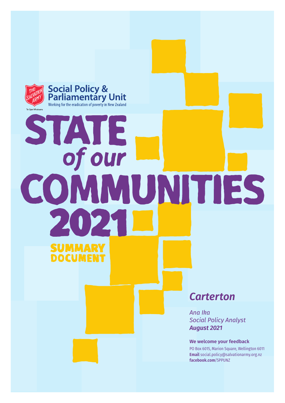